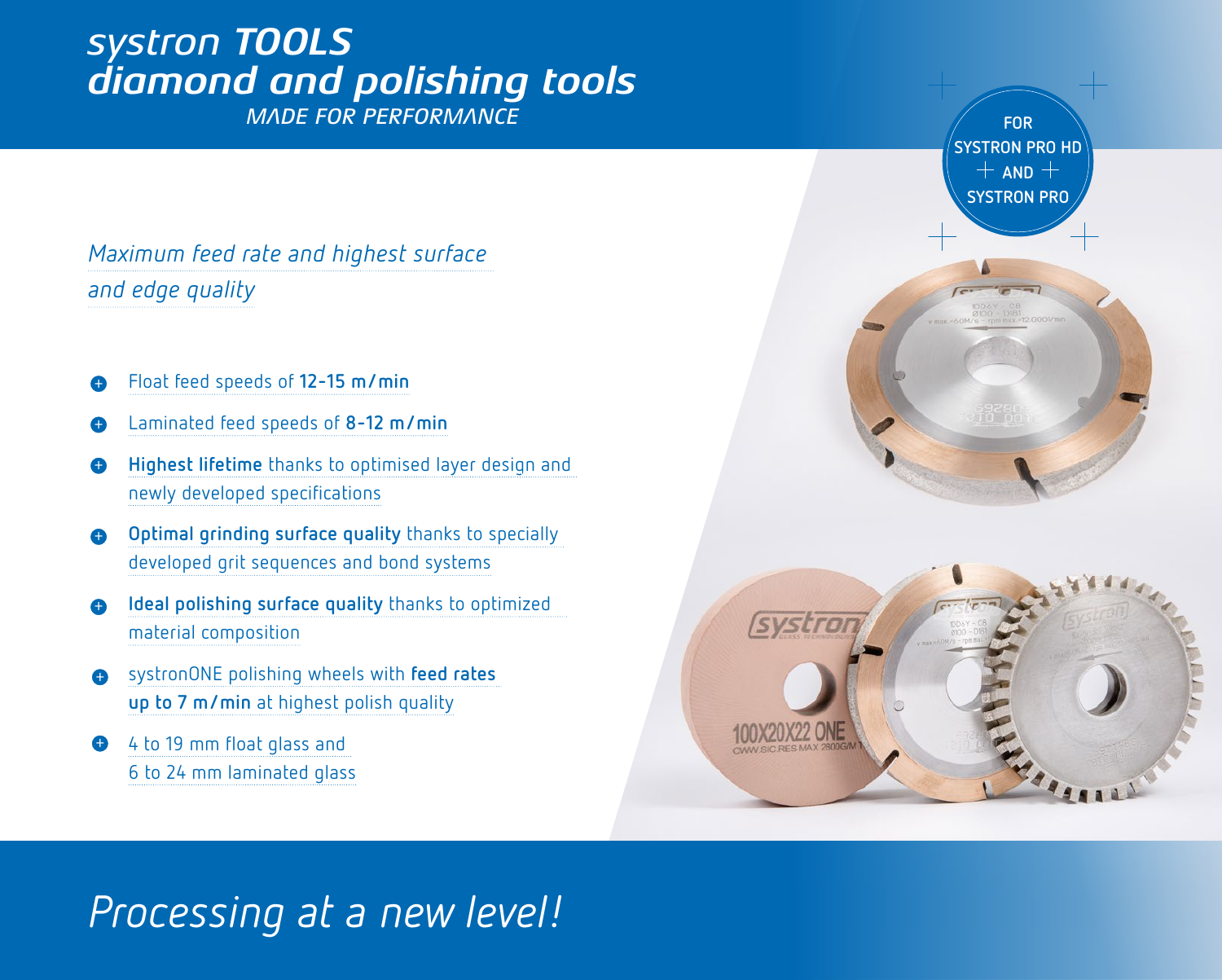## *systron TOOLS diamond and polishing tools*

*MADE FOR PERFORMANCE*

*Maximum feed rate and highest surface and edge quality*

- *+* Float feed speeds of **12-15 m/min**
- *+* Laminated feed speeds of **8-12 m/min**
- *+* **Highest lifetime** thanks to optimised layer design and newly developed specifications
- *+* **Optimal grinding surface quality** thanks to specially developed grit sequences and bond systems
- *+* **Ideal polishing surface quality** thanks to optimized material composition
- *+* systronONE polishing wheels with **feed rates up to 7 m/min** at highest polish quality
- *+* 4 to 19 mm float glass and 6 to 24 mm laminated glass



## *Processing at a new level!*